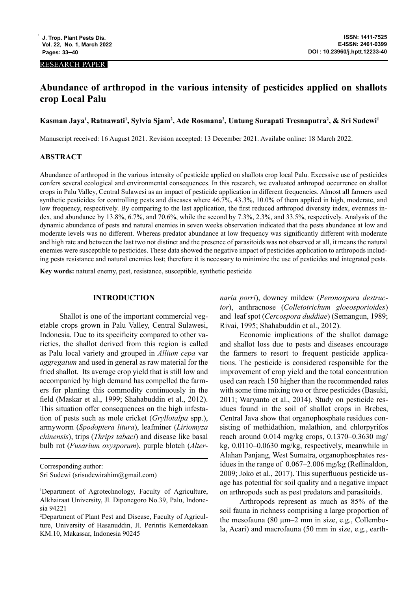#### RESEARCH PAPER

# **Abundance of arthropod in the various intensity of pesticides applied on shallots crop Local Palu**

**Kasman Jaya1 , Ratnawati1 , Sylvia Sjam2 , Ade Rosmana2 , Untung Surapati Tresnaputra2 , & Sri Sudewi1**

Manuscript received: 16 August 2021. Revision accepted: 13 December 2021. Availabe online: 18 March 2022.

## **ABSTRACT**

Abundance of arthropod in the various intensity of pesticide applied on shallots crop local Palu. Excessive use of pesticides confers several ecological and environmental consequences. In this research, we evaluated arthropod occurrence on shallot crops in Palu Valley, Central Sulawesi as an impact of pesticide application in different frequencies. Almost all farmers used synthetic pesticides for controlling pests and diseases where 46.7%, 43.3%, 10.0% of them applied in high, moderate, and low frequency, respectively. By comparing to the last application, the first reduced arthropod diversity index, evenness index, and abundance by 13.8%, 6.7%, and 70.6%, while the second by 7.3%, 2.3%, and 33.5%, respectively. Analysis of the dynamic abundance of pests and natural enemies in seven weeks observation indicated that the pests abundance at low and moderate levels was no different. Whereas predator abundance at low frequency was significantly different with moderate and high rate and between the last two not distinct and the presence of parasitoids was not observed at all, it means the natural enemies were susceptible to pesticides. These data showed the negative impact of pesticides application to arthropods including pests resistance and natural enemies lost; therefore it is necessary to minimize the use of pesticides and integrated pests.

**Key words:** natural enemy, pest, resistance, susceptible, synthetic pesticide

## **INTRODUCTION**

Shallot is one of the important commercial vegetable crops grown in Palu Valley, Central Sulawesi, Indonesia. Due to its specificity compared to other varieties, the shallot derived from this region is called as Palu local variety and grouped in *Allium cepa* var *aggregatum* and used in general as raw material for the fried shallot. Its average crop yield that is still low and accompanied by high demand has compelled the farmers for planting this commodity continuously in the field (Maskar et al., 1999; Shahabuddin et al., 2012). This situation offer consequences on the high infestation of pests such as mole cricket (*Gryllotalpa* spp.), armyworm (*Spodoptera litura*), leafminer (*Liriomyza chinensis*), trips (*Thrips tabaci*) and disease like basal bulb rot (*Fusarium oxysporum*), purple blotch (*Alter-*

Corresponding author: Sri Sudewi (srisudewirahim@gmail.com) *naria porri*), downey mildew (*Peronospora destructor*), anthracnose (*Colletotrichum gloeosporioides*) and leaf spot (*Cercospora duddiae*) (Semangun, 1989; Rivai, 1995; Shahabuddin et al., 2012).

Economic implications of the shallot damage and shallot loss due to pests and diseases encourage the farmers to resort to frequent pesticide applications. The pesticide is considered responsible for the improvement of crop yield and the total concentration used can reach 150 higher than the recommended rates with some time mixing two or three pesticides (Basuki, 2011; Waryanto et al., 2014). Study on pesticide residues found in the soil of shallot crops in Brebes, Central Java show that organophosphate residues consisting of methidathion, malathion, and chlorpyrifos reach around 0.014 mg/kg crops, 0.1370–0.3630 mg/ kg, 0.0110–0.0630 mg/kg, respectively, meanwhile in Alahan Panjang, West Sumatra, organophosphates residues in the range of 0.067–2.006 mg/kg (Reflinaldon, 2009; Joko et al., 2017). This superfluous pesticide usage has potential for soil quality and a negative impact on arthropods such as pest predators and parasitoids.

Arthropods represent as much as 85% of the soil fauna in richness comprising a large proportion of the mesofauna (80  $\mu$ m–2 mm in size, e.g., Collembola, Acari) and macrofauna (50 mm in size, e.g., earth-

<sup>1</sup> Department of Agrotechnology, Faculty of Agriculture, Alkhairaat University, Jl. Diponegoro No.39, Palu, Indonesia 94221

<sup>2</sup> Department of Plant Pest and Disease, Faculty of Agriculture, University of Hasanuddin, Jl. Perintis Kemerdekaan KM.10, Makassar, Indonesia 90245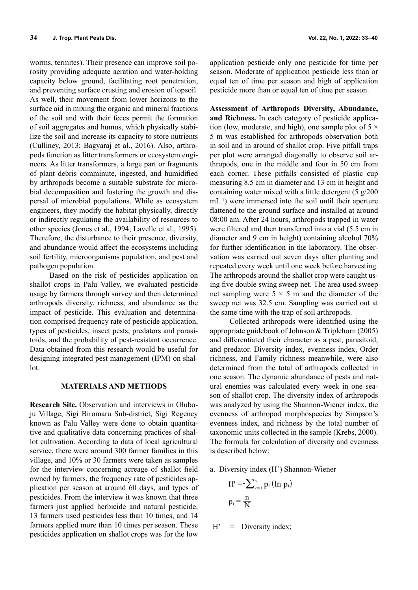worms, termites). Their presence can improve soil porosity providing adequate aeration and water-holding capacity below ground, facilitating root penetration, and preventing surface crusting and erosion of topsoil. As well, their movement from lower horizons to the surface aid in mixing the organic and mineral fractions of the soil and with their feces permit the formation of soil aggregates and humus, which physically stabilize the soil and increase its capacity to store nutrients (Culliney, 2013; Bagyaraj et al., 2016). Also, arthropods function as litter transformers or ecosystem engineers. As litter transformers, a large part or fragments of plant debris comminute, ingested, and humidified by arthropods become a suitable substrate for microbial decomposition and fostering the growth and dispersal of microbial populations. While as ecosystem engineers, they modify the habitat physically, directly or indirectly regulating the availability of resources to other species (Jones et al., 1994; Lavelle et al., 1995). Therefore, the disturbance to their presence, diversity, and abundance would affect the ecosystems including soil fertility, microorganisms population, and pest and pathogen population.

Based on the risk of pesticides application on shallot crops in Palu Valley, we evaluated pesticide usage by farmers through survey and then determined arthropods diversity, richness, and abundance as the impact of pesticide. This evaluation and determination comprised frequency rate of pesticide application, types of pesticides, insect pests, predators and parasitoids, and the probability of pest-resistant occurrence. Data obtained from this research would be useful for designing integrated pest management (IPM) on shallot.

#### **MATERIALS AND METHODS**

**Research Site.** Observation and interviews in Oluboju Village, Sigi Biromaru Sub-district, Sigi Regency known as Palu Valley were done to obtain quantitative and qualitative data concerning practices of shallot cultivation. According to data of local agricultural service, there were around 300 farmer families in this village, and 10% or 30 farmers were taken as samples for the interview concerning acreage of shallot field owned by farmers, the frequency rate of pesticides application per season at around 60 days, and types of pesticides. From the interview it was known that three farmers just applied herbicide and natural pesticide, 13 farmers used pesticides less than 10 times, and 14 farmers applied more than 10 times per season. These pesticides application on shallot crops was for the low

application pesticide only one pesticide for time per season. Moderate of application pesticide less than or equal ten of time per season and high of application pesticide more than or equal ten of time per season.

**Assessment of Arthropods Diversity, Abundance, and Richness.** In each category of pesticide application (low, moderate, and high), one sample plot of  $5 \times$ 5 m was established for arthropods observation both in soil and in around of shallot crop. Five pitfall traps per plot were arranged diagonally to observe soil arthropods, one in the middle and four in 50 cm from each corner. These pitfalls consisted of plastic cup measuring 8.5 cm in diameter and 13 cm in height and containing water mixed with a little detergent (5 g/200 mL-1) were immersed into the soil until their aperture flattened to the ground surface and installed at around 08:00 am. After 24 hours, arthropods trapped in water were filtered and then transferred into a vial (5.5 cm in diameter and 9 cm in height) containing alcohol 70% for further identification in the laboratory. The observation was carried out seven days after planting and repeated every week until one week before harvesting. The arthropods around the shallot crop were caught using five double swing sweep net. The area used sweep net sampling were  $5 \times 5$  m and the diameter of the sweep net was 32.5 cm. Sampling was carried out at the same time with the trap of soil arthropods.

Collected arthropods were identified using the appropriate guidebook of Johnson & Triplehorn (2005) and differentiated their character as a pest, parasitoid, and predator. Diversity index, evenness index, Order richness, and Family richness meanwhile, were also determined from the total of arthropods collected in one season. The dynamic abundance of pests and natural enemies was calculated every week in one season of shallot crop. The diversity index of arthropods was analyzed by using the Shannon-Wiener index, the evenness of arthropod morphospecies by Simpson's evenness index, and richness by the total number of taxonomic units collected in the sample (Krebs, 2000). The formula for calculation of diversity and evenness is described below:

a. Diversity index (H') Shannon-Wiener

$$
H' = -\sum_{k=1}^{n} p_i (ln p_i)
$$
  

$$
p_i = \frac{n}{N}
$$

 $H'$  = Diversity index;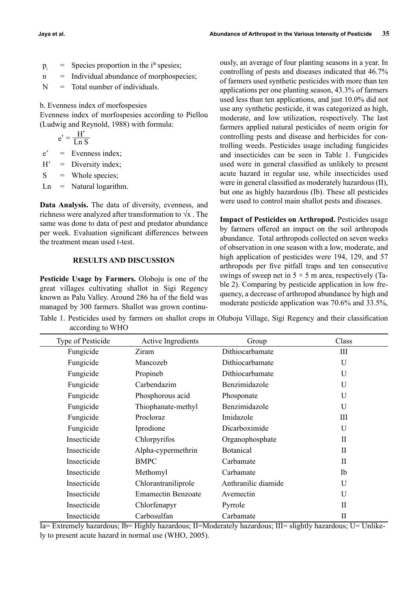- $p_i$  = Species proportion in the i<sup>th</sup> spesies;
- n = Individual abundance of morphospecies;
- N = Total number of individuals.

b. Evenness index of morfospesies

Evenness index of morfospesies according to Piellou (Ludwig and Reynold, 1988) with formula:

$$
e' = \frac{H'}{Ln S}
$$

e' = Evenness index;

 $H'$  = Diversity index;

 $S =$  Whole species;

 $\mathbf{L} \mathbf{n} = \mathbf{N}$  atural logarithm.

**Data Analysis.** The data of diversity, evenness, and richness were analyzed after transformation to  $\sqrt{x}$ . The same was done to data of pest and predator abundance per week. Evaluation significant differences between the treatment mean used t-test.

# **RESULTS AND DISCUSSION**

**Pesticide Usage by Farmers.** Oloboju is one of the great villages cultivating shallot in Sigi Regency known as Palu Valley. Around 286 ha of the field was managed by 300 farmers. Shallot was grown continu-

ously, an average of four planting seasons in a year. In controlling of pests and diseases indicated that 46.7% of farmers used synthetic pesticides with more than ten applications per one planting season, 43.3% of farmers used less than ten applications, and just 10.0% did not use any synthetic pesticide, it was categorized as high, moderate, and low utilization, respectively. The last farmers applied natural pesticides of neem origin for controlling pests and disease and herbicides for controlling weeds. Pesticides usage including fungicides and insecticides can be seen in Table 1. Fungicides used were in general classified as unlikely to present acute hazard in regular use, while insecticides used were in general classified as moderately hazardous (II), but one as highly hazardous (Ib). These all pesticides were used to control main shallot pests and diseases.

**Impact of Pesticides on Arthropod.** Pesticides usage by farmers offered an impact on the soil arthropods abundance. Total arthropods collected on seven weeks of observation in one season with a low, moderate, and high application of pesticides were 194, 129, and 57 arthropods per five pitfall traps and ten consecutive swings of sweep net in  $5 \times 5$  m area, respectively (Table 2). Comparing by pesticide application in low frequency, a decrease of arthropod abundance by high and moderate pesticide application was 70.6% and 33.5%,

Table 1. Pesticides used by farmers on shallot crops in Oluboju Village, Sigi Regency and their classification according to WHO

| Type of Pesticide | Active Ingredients        | Group               | Class        |
|-------------------|---------------------------|---------------------|--------------|
| Fungicide         | Ziram                     | Dithiocarbamate     | III          |
| Fungicide         | Mancozeb                  | Dithiocarbamate     | U            |
| Fungicide         | Propineb                  | Dithiocarbamate     | U            |
| Fungicide         | Carbendazim               | Benzimidazole       | U            |
| Fungicide         | Phosphorous acid          | Phosponate          | U            |
| Fungicide         | Thiophanate-methyl        | Benzimidazole       | U            |
| Fungicide         | Procloraz                 | Imidazole           | III          |
| Fungicide         | Iprodione                 | Dicarboximide       | U            |
| Insecticide       | Chlorpyrifos              | Organophosphate     | $\mathbf{I}$ |
| Insecticide       | Alpha-cypermethrin        | <b>Botanical</b>    | $\mathbf{I}$ |
| Insecticide       | <b>BMPC</b>               | Carbamate           | $\rm{II}$    |
| Insecticide       | Methomyl                  | Carbamate           | Ib           |
| Insecticide       | Chlorantraniliprole       | Anthranilic diamide | U            |
| Insecticide       | <b>Emamectin Benzoate</b> | Avemectin           | U            |
| Insecticide       | Chlorfenapyr              | Pyrrole             | $\mathbf{I}$ |
| Insecticide       | Carbosulfan               | Carbamate           | $\mathbf{I}$ |

Ia= Extremely hazardous; Ib= Highly hazardous; II=Moderately hazardous; III= slightly hazardous; U= Unlikely to present acute hazard in normal use (WHO, 2005).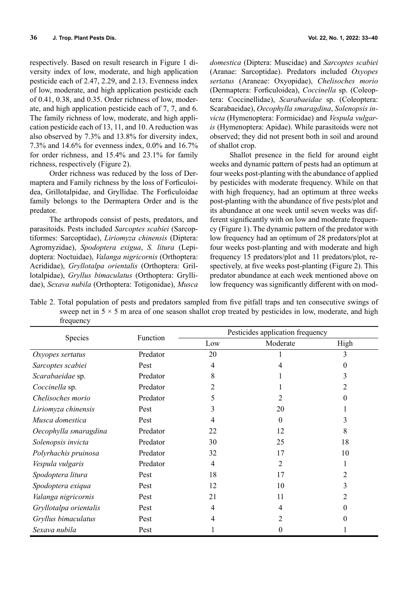respectively. Based on result research in Figure 1 diversity index of low, moderate, and high application pesticide each of 2.47, 2.29, and 2.13. Evenness index of low, moderate, and high application pesticide each of 0.41, 0.38, and 0.35. Order richness of low, moderate, and high application pesticide each of 7, 7, and 6. The family richness of low, moderate, and high application pesticide each of 13, 11, and 10. A reduction was also observed by 7.3% and 13.8% for diversity index, 7.3% and 14.6% for evenness index, 0.0% and 16.7% for order richness, and 15.4% and 23.1% for family richness, respectively (Figure 2).

Order richness was reduced by the loss of Dermaptera and Family richness by the loss of Forficuloidea, Grillotalpidae, and Gryllidae. The Forficuloidae family belongs to the Dermaptera Order and is the predator.

The arthropods consist of pests, predators, and parasitoids. Pests included *Sarcoptes scabiei* (Sarcoptiformes: Sarcoptidae), *Liriomyza chinensis* (Diptera: Agromyzidae), *Spodoptera exigua*, *S. litura* (Lepidoptera: Noctuidae), *Valanga nigricornis* (Orthoptera: Acrididae), *Gryllotalpa orientalis* (Orthoptera: Grillotalpidae), *Gryllus bimaculatus* (Orthoptera: Gryllidae), *Sexava nubila* (Orthoptera: Totigonidae), *Musca* 

*domestica* (Diptera: Muscidae) and *Sarcoptes scabiei* (Aranae: Sarcoptidae). Predators included *Oxyopes sertatus* (Araneae: Oxyopidae), *Chelisoches morio* (Dermaptera: Forficuloidea), *Coccinella* sp. (Coleoptera: Coccinellidae), *Scarabaeidae* sp. (Coleoptera: Scarabaeidae), *Oecophylla smaragdina*, *Solenopsis invicta* (Hymenoptera: Formicidae) and *Vespula vulgaris* (Hymenoptera: Apidae). While parasitoids were not observed; they did not present both in soil and around of shallot crop.

Shallot presence in the field for around eight weeks and dynamic pattern of pests had an optimum at four weeks post-planting with the abundance of applied by pesticides with moderate frequency. While on that with high frequency, had an optimum at three weeks post-planting with the abundance of five pests/plot and its abundance at one week until seven weeks was different significantly with on low and moderate frequency (Figure 1). The dynamic pattern of the predator with low frequency had an optimum of 28 predators/plot at four weeks post-planting and with moderate and high frequency 15 predators/plot and 11 predators/plot, respectively, at five weeks post-planting (Figure 2). This predator abundance at each week mentioned above on low frequency was significantly different with on mod-

Table 2. Total population of pests and predators sampled from five pitfall traps and ten consecutive swings of sweep net in  $5 \times 5$  m area of one season shallot crop treated by pesticides in low, moderate, and high frequency

| Species                | Function | Pesticides application frequency |          |      |
|------------------------|----------|----------------------------------|----------|------|
|                        |          | Low                              | Moderate | High |
| Oxyopes sertatus       | Predator | 20                               |          | 3    |
| Sarcoptes scabiei      | Pest     | 4                                |          | 0    |
| Scarabaeidae sp.       | Predator | 8                                |          | 3    |
| Coccinella sp.         | Predator | 2                                |          | 2    |
| Chelisoches morio      | Predator | 5                                |          | 0    |
| Liriomyza chinensis    | Pest     | 3                                | 20       |      |
| Musca domestica        | Pest     | 4                                | 0        | 3    |
| Oecophylla smaragdina  | Predator | 22                               | 12       | 8    |
| Solenopsis invicta     | Predator | 30                               | 25       | 18   |
| Polyrhachis pruinosa   | Predator | 32                               | 17       | 10   |
| Vespula vulgaris       | Predator | 4                                | 2        |      |
| Spodoptera litura      | Pest     | 18                               | 17       | 2    |
| Spodoptera exiqua      | Pest     | 12                               | 10       | 3    |
| Valanga nigricornis    | Pest     | 21                               | 11       | 2    |
| Gryllotalpa orientalis | Pest     | 4                                | 4        | 0    |
| Gryllus bimaculatus    | Pest     | 4                                | 2        | 0    |
| Sexava nubila          | Pest     |                                  | $\theta$ |      |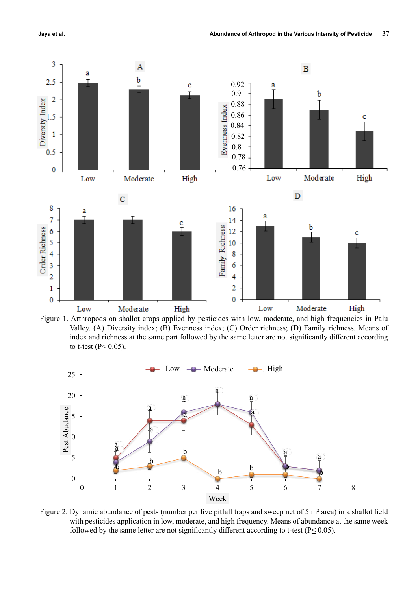

Figure 1. Arthropods on shallot crops applied by pesticides with low, moderate, and high frequencies in Palu Valley. (A) Diversity index; (B) Evenness index; (C) Order richness; (D) Family richness. Means of index and richness at the same part followed by the same letter are not significantly different according to t-test ( $P < 0.05$ ).



Figure 2. Dynamic abundance of pests (number per five pitfall traps and sweep net of 5  $m^2$  area) in a shallot field with pesticides application in low, moderate, and high frequency. Means of abundance at the same week followed by the same letter are not significantly different according to t-test ( $P \le 0.05$ ).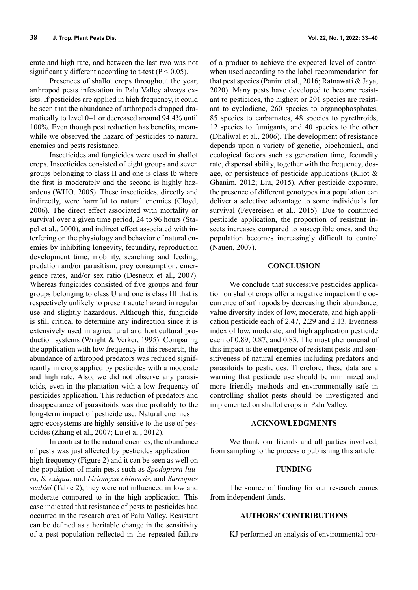erate and high rate, and between the last two was not significantly different according to t-test ( $P < 0.05$ ).

Presences of shallot crops throughout the year, arthropod pests infestation in Palu Valley always exists. If pesticides are applied in high frequency, it could be seen that the abundance of arthropods dropped dramatically to level 0–1 or decreased around 94.4% until 100%. Even though pest reduction has benefits, meanwhile we observed the hazard of pesticides to natural enemies and pests resistance.

Insecticides and fungicides were used in shallot crops. Insecticides consisted of eight groups and seven groups belonging to class II and one is class Ib where the first is moderately and the second is highly hazardous (WHO, 2005). These insecticides, directly and indirectly, were harmful to natural enemies (Cloyd, 2006). The direct effect associated with mortality or survival over a given time period, 24 to 96 hours (Stapel et al., 2000), and indirect effect associated with interfering on the physiology and behavior of natural enemies by inhibiting longevity, fecundity, reproduction development time, mobility, searching and feeding, predation and/or parasitism, prey consumption, emergence rates, and/or sex ratio (Desneux et al., 2007). Whereas fungicides consisted of five groups and four groups belonging to class U and one is class III that is respectively unlikely to present acute hazard in regular use and slightly hazardous. Although this, fungicide is still critical to determine any indirection since it is extensively used in agricultural and horticultural production systems (Wright & Verker, 1995). Comparing the application with low frequency in this research, the abundance of arthropod predators was reduced significantly in crops applied by pesticides with a moderate and high rate. Also, we did not observe any parasitoids, even in the plantation with a low frequency of pesticides application. This reduction of predators and disappearance of parasitoids was due probably to the long-term impact of pesticide use. Natural enemies in agro-ecosystems are highly sensitive to the use of pesticides (Zhang et al., 2007; Lu et al., 2012).

In contrast to the natural enemies, the abundance of pests was just affected by pesticides application in high frequency (Figure 2) and it can be seen as well on the population of main pests such as *Spodoptera litura*, *S. exiqua*, and *Liriomyza chinensis*, and *Sarcoptes scabiei* (Table 2), they were not influenced in low and moderate compared to in the high application. This case indicated that resistance of pests to pesticides had occurred in the research area of Palu Valley. Resistant can be defined as a heritable change in the sensitivity of a pest population reflected in the repeated failure of a product to achieve the expected level of control when used according to the label recommendation for that pest species (Panini et al., 2016; Ratnawati & Jaya, 2020). Many pests have developed to become resistant to pesticides, the highest or 291 species are resistant to cyclodiene, 260 species to organophosphates, 85 species to carbamates, 48 species to pyrethroids, 12 species to fumigants, and 40 species to the other (Dhaliwal et al., 2006). The development of resistance depends upon a variety of genetic, biochemical, and ecological factors such as generation time, fecundity rate, dispersal ability, together with the frequency, dosage, or persistence of pesticide applications (Kliot & Ghanim, 2012; Liu, 2015). After pesticide exposure, the presence of different genotypes in a population can deliver a selective advantage to some individuals for survival (Feyereisen et al., 2015). Due to continued pesticide application, the proportion of resistant insects increases compared to susceptible ones, and the population becomes increasingly difficult to control (Nauen, 2007).

## **CONCLUSION**

We conclude that successive pesticides application on shallot crops offer a negative impact on the occurrence of arthropods by decreasing their abundance, value diversity index of low, moderate, and high application pesticide each of 2.47, 2.29 and 2.13. Evenness index of low, moderate, and high application pesticide each of 0.89, 0.87, and 0.83. The most phenomenal of this impact is the emergence of resistant pests and sensitiveness of natural enemies including predators and parasitoids to pesticides. Therefore, these data are a warning that pesticide use should be minimized and more friendly methods and environmentally safe in controlling shallot pests should be investigated and implemented on shallot crops in Palu Valley.

#### **ACKNOWLEDGMENTS**

We thank our friends and all parties involved, from sampling to the process o publishing this article.

#### **FUNDING**

The source of funding for our research comes from independent funds.

## **AUTHORS' CONTRIBUTIONS**

KJ performed an analysis of environmental pro-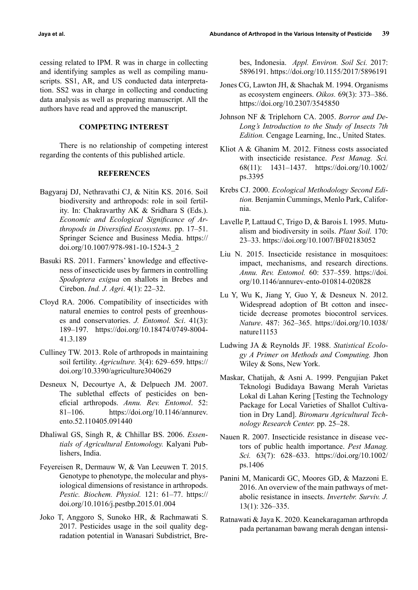cessing related to IPM. R was in charge in collecting and identifying samples as well as compiling manuscripts. SS1, AR, and US conducted data interpretation. SS2 was in charge in collecting and conducting data analysis as well as preparing manuscript. All the authors have read and approved the manuscript.

# **COMPETING INTEREST**

There is no relationship of competing interest regarding the contents of this published article.

# **REFERENCES**

- Bagyaraj DJ, Nethravathi CJ, & Nitin KS. 2016. Soil biodiversity and arthropods: role in soil fertility. In: Chakravarthy AK & Sridhara S (Eds.). *Economic and Ecological Significance of Arthropods in Diversified Ecosystems.* pp. 17–51. Springer Science and Business Media. https:// doi.org/10.1007/978-981-10-1524-3\_2
- Basuki RS. 2011. Farmers' knowledge and effectiveness of insecticide uses by farmers in controlling *Spodoptera exigua* on shallots in Brebes and Cirebon. *Ind. J. Agri*. 4(1): 22–32.
- Cloyd RA. 2006. Compatibility of insecticides with natural enemies to control pests of greenhouses and conservatories. *J. Entomol. Sci*. 41(3): 189–197. https://doi.org/10.18474/0749-8004- 41.3.189
- Culliney TW. 2013. Role of arthropods in maintaining soil fertility. *Agriculture.* 3(4): 629–659. https:// doi.org/10.3390/agriculture3040629
- Desneux N, Decourtye A, & Delpuech JM. 2007. The sublethal effects of pesticides on beneficial arthropods. *Annu. Rev. Entomol*. 52: 81–106. https://doi.org/10.1146/annurev. ento.52.110405.091440
- Dhaliwal GS, Singh R, & Chhillar BS. 2006. *Essentials of Agricultural Entomology.* Kalyani Publishers, India.
- Feyereisen R, Dermauw W, & Van Leeuwen T. 2015. Genotype to phenotype, the molecular and physiological dimensions of resistance in arthropods. *Pestic. Biochem. Physiol.* 121: 61–77. https:// doi.org/10.1016/j.pestbp.2015.01.004
- Joko T, Anggoro S, Sunoko HR, & Rachmawati S. 2017. Pesticides usage in the soil quality degradation potential in Wanasari Subdistrict, Bre-

bes, Indonesia. *Appl. Environ. Soil Sci.* 2017: 5896191. https://doi.org/10.1155/2017/5896191

- Jones CG, Lawton JH, & Shachak M. 1994. Organisms as ecosystem engineers. *Oikos.* 69(3): 373–386. https://doi.org/10.2307/3545850
- Johnson NF & Triplehorn CA. 2005. *Borror and De-Long's Introduction to the Study of Insects 7th Edition.* Cengage Learning, Inc., United States.
- Kliot A & Ghanim M. 2012. Fitness costs associated with insecticide resistance. *Pest Manag. Sci.* 68(11): 1431–1437. https://doi.org/10.1002/ ps.3395
- Krebs CJ. 2000. *Ecological Methodology Second Edition.* Benjamin Cummings, Menlo Park, California.
- Lavelle P, Lattaud C, Trigo D, & Barois I. 1995. Mutualism and biodiversity in soils. *Plant Soil.* 170: 23–33. https://doi.org/10.1007/BF02183052
- Liu N. 2015. Insecticide resistance in mosquitoes: impact, mechanisms, and research directions. *Annu. Rev. Entomol.* 60: 537–559. https://doi. org/10.1146/annurev-ento-010814-020828
- Lu Y, Wu K, Jiang Y, Guo Y, & Desneux N. 2012. Widespread adoption of Bt cotton and insecticide decrease promotes biocontrol services. *Nature*. 487: 362–365. https://doi.org/10.1038/ nature11153
- Ludwing JA & Reynolds JF. 1988. *Statistical Ecology A Primer on Methods and Computing.* Jhon Wiley & Sons, New York.
- Maskar, Chatijah, & Asni A. 1999. Pengujian Paket Teknologi Budidaya Bawang Merah Varietas Lokal di Lahan Kering [Testing the Technology Package for Local Varieties of Shallot Cultivation in Dry Land]. *Biromaru Agricultural Technology Research Center.* pp. 25–28.
- Nauen R. 2007. Insecticide resistance in disease vectors of public health importance. *Pest Manag. Sci.* 63(7): 628–633. https://doi.org/10.1002/ ps.1406
- Panini M, Manicardi GC, Moores GD, & Mazzoni E. 2016. An overview of the main pathways of metabolic resistance in insects. *Invertebr. Surviv. J.* 13(1): 326–335.
- Ratnawati & Jaya K. 2020. Keanekaragaman arthropda pada pertanaman bawang merah dengan intensi-